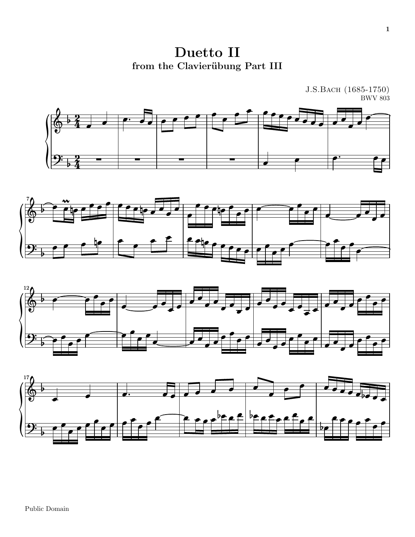Duetto II from the Clavierübung Part III

J.S.Bach (1685-1750) BWV 803







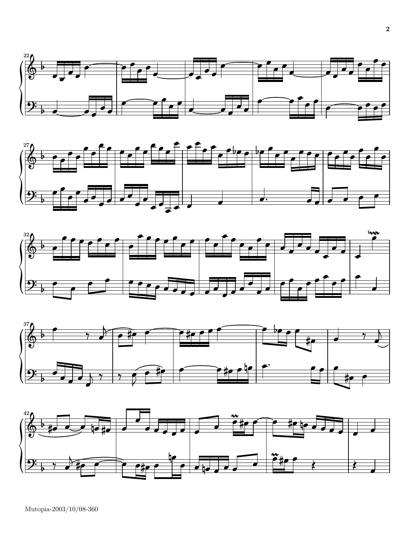







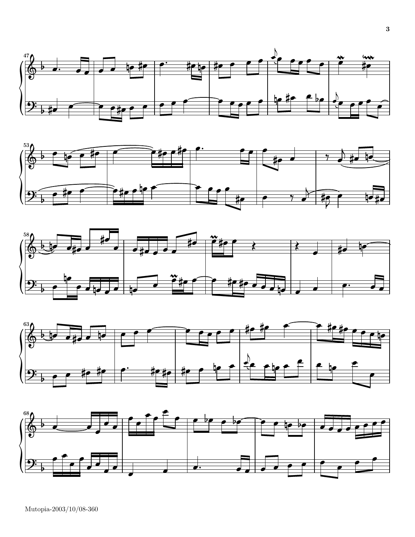







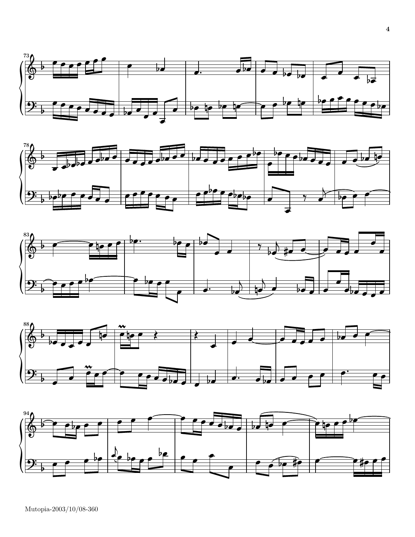







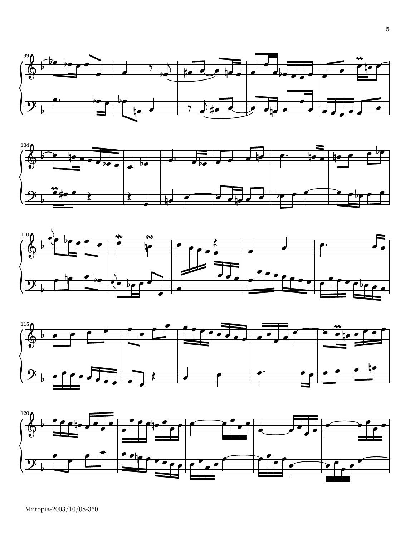